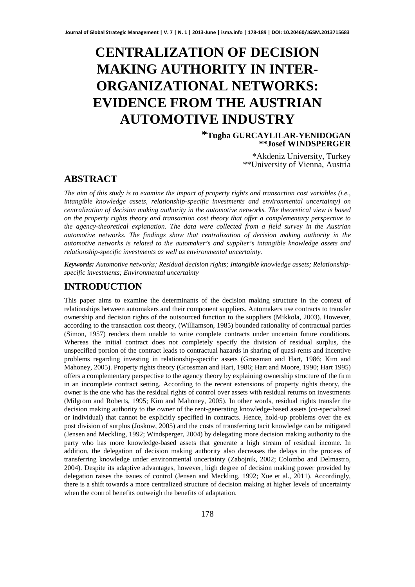# **CENTRALIZATION OF DECISION MAKING AUTHORITY IN INTER-ORGANIZATIONAL NETWORKS: EVIDENCE FROM THE AUSTRIAN AUTOMOTIVE INDUSTRY**

**\*Tugba GURCAYLILAR-YENIDOGAN \*\*Josef WINDSPERGER** 

> \*Akdeniz University, Turkey \*\*University of Vienna, Austria

## **ABSTRACT**

*The aim of this study is to examine the impact of property rights and transaction cost variables (i.e., intangible knowledge assets, relationship-specific investments and environmental uncertainty) on centralization of decision making authority in the automotive networks. The theoretical view is based on the property rights theory and transaction cost theory that offer a complementary perspective to the agency-theoretical explanation. The data were collected from a field survey in the Austrian automotive networks. The findings show that centralization of decision making authority in the automotive networks is related to the automaker's and supplier's intangible knowledge assets and relationship-specific investments as well as environmental uncertainty.* 

*Keywords: Automotive networks; Residual decision rights; Intangible knowledge assets; Relationshipspecific investments; Environmental uncertainty*

# **INTRODUCTION**

This paper aims to examine the determinants of the decision making structure in the context of relationships between automakers and their component suppliers. Automakers use contracts to transfer ownership and decision rights of the outsourced function to the suppliers (Mikkola, 2003). However, according to the transaction cost theory, (Williamson, 1985) bounded rationality of contractual parties (Simon, 1957) renders them unable to write complete contracts under uncertain future conditions. Whereas the initial contract does not completely specify the division of residual surplus, the unspecified portion of the contract leads to contractual hazards in sharing of quasi-rents and incentive problems regarding investing in relationship-specific assets (Grossman and Hart, 1986; Kim and Mahoney, 2005). Property rights theory (Grossman and Hart, 1986; Hart and Moore, 1990; Hart 1995) offers a complementary perspective to the agency theory by explaining ownership structure of the firm in an incomplete contract setting. According to the recent extensions of property rights theory, the owner is the one who has the residual rights of control over assets with residual returns on investments (Milgrom and Roberts, 1995; Kim and Mahoney, 2005). In other words, residual rights transfer the decision making authority to the owner of the rent-generating knowledge-based assets (co-specialized or individual) that cannot be explicitly specified in contracts. Hence, hold-up problems over the ex post division of surplus (Joskow, 2005) and the costs of transferring tacit knowledge can be mitigated (Jensen and Meckling, 1992; Windsperger, 2004) by delegating more decision making authority to the party who has more knowledge-based assets that generate a high stream of residual income. In addition, the delegation of decision making authority also decreases the delays in the process of transferring knowledge under environmental uncertainty (Zabojnik, 2002; Colombo and Delmastro, 2004). Despite its adaptive advantages, however, high degree of decision making power provided by delegation raises the issues of control (Jensen and Meckling, 1992; Xue et al., 2011). Accordingly, there is a shift towards a more centralized structure of decision making at higher levels of uncertainty when the control benefits outweigh the benefits of adaptation.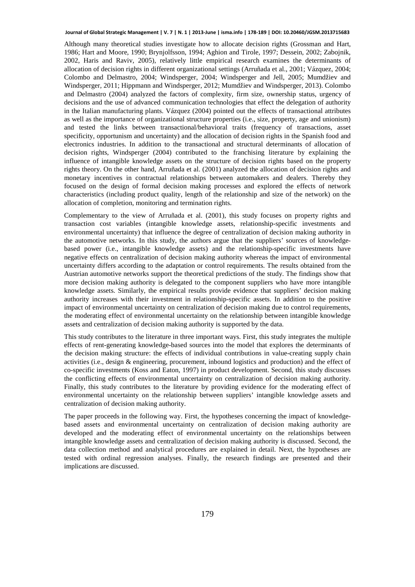Although many theoretical studies investigate how to allocate decision rights (Grossman and Hart, 1986; Hart and Moore, 1990; Brynjolfsson, 1994; Aghion and Tirole, 1997; Dessein, 2002; Zabojnik, 2002, Haris and Raviv, 2005), relatively little empirical research examines the determinants of allocation of decision rights in different organizational settings (Arruñada et al., 2001; Vázquez, 2004; Colombo and Delmastro, 2004; Windsperger, 2004; Windsperger and Jell, 2005; Mumdžiev and Windsperger, 2011; Hippmann and Windsperger, 2012; Mumdžiev and Windsperger, 2013). Colombo and Delmastro (2004) analyzed the factors of complexity, firm size, ownership status, urgency of decisions and the use of advanced communication technologies that effect the delegation of authority in the Italian manufacturing plants. Vázquez (2004) pointed out the effects of transactional attributes as well as the importance of organizational structure properties (i.e., size, property, age and unionism) and tested the links between transactional/behavioral traits (frequency of transactions, asset specificity, opportunism and uncertainty) and the allocation of decision rights in the Spanish food and electronics industries. In addition to the transactional and structural determinants of allocation of decision rights, Windsperger (2004) contributed to the franchising literature by explaining the influence of intangible knowledge assets on the structure of decision rights based on the property rights theory. On the other hand, Arruñada et al. (2001) analyzed the allocation of decision rights and monetary incentives in contractual relationships between automakers and dealers. Thereby they focused on the design of formal decision making processes and explored the effects of network characteristics (including product quality, length of the relationship and size of the network) on the allocation of completion, monitoring and termination rights.

Complementary to the view of Arruñada et al. (2001), this study focuses on property rights and transaction cost variables (intangible knowledge assets, relationship-specific investments and environmental uncertainty) that influence the degree of centralization of decision making authority in the automotive networks. In this study, the authors argue that the suppliers' sources of knowledgebased power (i.e., intangible knowledge assets) and the relationship-specific investments have negative effects on centralization of decision making authority whereas the impact of environmental uncertainty differs according to the adaptation or control requirements. The results obtained from the Austrian automotive networks support the theoretical predictions of the study. The findings show that more decision making authority is delegated to the component suppliers who have more intangible knowledge assets. Similarly, the empirical results provide evidence that suppliers' decision making authority increases with their investment in relationship-specific assets. In addition to the positive impact of environmental uncertainty on centralization of decision making due to control requirements, the moderating effect of environmental uncertainty on the relationship between intangible knowledge assets and centralization of decision making authority is supported by the data.

This study contributes to the literature in three important ways. First, this study integrates the multiple effects of rent-generating knowledge-based sources into the model that explores the determinants of the decision making structure: the effects of individual contributions in value-creating supply chain activities (i.e., design & engineering, procurement, inbound logistics and production) and the effect of co-specific investments (Koss and Eaton, 1997) in product development. Second, this study discusses the conflicting effects of environmental uncertainty on centralization of decision making authority. Finally, this study contributes to the literature by providing evidence for the moderating effect of environmental uncertainty on the relationship between suppliers' intangible knowledge assets and centralization of decision making authority.

The paper proceeds in the following way. First, the hypotheses concerning the impact of knowledgebased assets and environmental uncertainty on centralization of decision making authority are developed and the moderating effect of environmental uncertainty on the relationships between intangible knowledge assets and centralization of decision making authority is discussed. Second, the data collection method and analytical procedures are explained in detail. Next, the hypotheses are tested with ordinal regression analyses. Finally, the research findings are presented and their implications are discussed.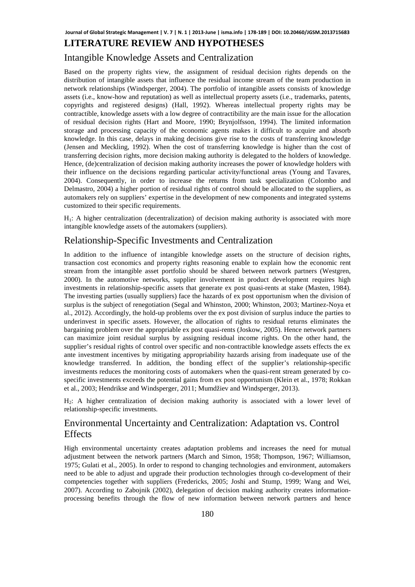## **LITERATURE REVIEW AND HYPOTHESES**

#### Intangible Knowledge Assets and Centralization

Based on the property rights view, the assignment of residual decision rights depends on the distribution of intangible assets that influence the residual income stream of the team production in network relationships (Windsperger, 2004). The portfolio of intangible assets consists of knowledge assets (i.e., know-how and reputation) as well as intellectual property assets (i.e., trademarks, patents, copyrights and registered designs) (Hall, 1992). Whereas intellectual property rights may be contractible, knowledge assets with a low degree of contractibility are the main issue for the allocation of residual decision rights (Hart and Moore, 1990; Brynjolfsson, 1994). The limited information storage and processing capacity of the economic agents makes it difficult to acquire and absorb knowledge. In this case, delays in making decisions give rise to the costs of transferring knowledge (Jensen and Meckling, 1992). When the cost of transferring knowledge is higher than the cost of transferring decision rights, more decision making authority is delegated to the holders of knowledge. Hence, (de)centralization of decision making authority increases the power of knowledge holders with their influence on the decisions regarding particular activity/functional areas (Young and Tavares, 2004). Consequently, in order to increase the returns from task specialization (Colombo and Delmastro, 2004) a higher portion of residual rights of control should be allocated to the suppliers, as automakers rely on suppliers' expertise in the development of new components and integrated systems customized to their specific requirements.

H1: A higher centralization (decentralization) of decision making authority is associated with more intangible knowledge assets of the automakers (suppliers).

## Relationship-Specific Investments and Centralization

In addition to the influence of intangible knowledge assets on the structure of decision rights, transaction cost economics and property rights reasoning enable to explain how the economic rent stream from the intangible asset portfolio should be shared between network partners (Westgren, 2000). In the automotive networks, supplier involvement in product development requires high investments in relationship-specific assets that generate ex post quasi-rents at stake (Masten, 1984). The investing parties (usually suppliers) face the hazards of ex post opportunism when the division of surplus is the subject of renegotiation (Segal and Whinston, 2000; Whinston, 2003; Martinez-Noya et al., 2012). Accordingly, the hold-up problems over the ex post division of surplus induce the parties to underinvest in specific assets. However, the allocation of rights to residual returns eliminates the bargaining problem over the appropriable ex post quasi-rents (Joskow, 2005). Hence network partners can maximize joint residual surplus by assigning residual income rights. On the other hand, the supplier's residual rights of control over specific and non-contractible knowledge assets effects the ex ante investment incentives by mitigating appropriability hazards arising from inadequate use of the knowledge transferred. In addition, the bonding effect of the supplier's relationship-specific investments reduces the monitoring costs of automakers when the quasi-rent stream generated by cospecific investments exceeds the potential gains from ex post opportunism (Klein et al., 1978; Rokkan et al., 2003; Hendrikse and Windsperger, 2011; Mumdžiev and Windsperger, 2013).

H2: A higher centralization of decision making authority is associated with a lower level of relationship-specific investments.

# Environmental Uncertainty and Centralization: Adaptation vs. Control **Effects**

High environmental uncertainty creates adaptation problems and increases the need for mutual adjustment between the network partners (March and Simon, 1958; Thompson, 1967; Williamson, 1975; Gulati et al., 2005). In order to respond to changing technologies and environment, automakers need to be able to adjust and upgrade their production technologies through co-development of their competencies together with suppliers (Fredericks, 2005; Joshi and Stump, 1999; Wang and Wei, 2007). According to Zabojnik (2002), delegation of decision making authority creates informationprocessing benefits through the flow of new information between network partners and hence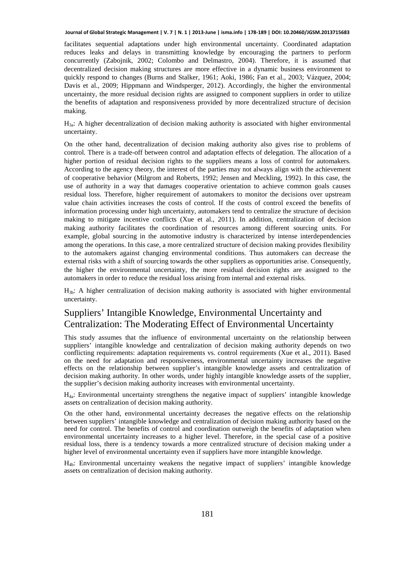facilitates sequential adaptations under high environmental uncertainty. Coordinated adaptation reduces leaks and delays in transmitting knowledge by encouraging the partners to perform concurrently (Zabojnik, 2002; Colombo and Delmastro, 2004). Therefore, it is assumed that decentralized decision making structures are more effective in a dynamic business environment to quickly respond to changes (Burns and Stalker, 1961; Aoki, 1986; Fan et al., 2003; Vázquez, 2004; Davis et al., 2009; Hippmann and Windsperger, 2012). Accordingly, the higher the environmental uncertainty, the more residual decision rights are assigned to component suppliers in order to utilize the benefits of adaptation and responsiveness provided by more decentralized structure of decision making.

 $H_{3a}$ : A higher decentralization of decision making authority is associated with higher environmental uncertainty.

On the other hand, decentralization of decision making authority also gives rise to problems of control. There is a trade-off between control and adaptation effects of delegation. The allocation of a higher portion of residual decision rights to the suppliers means a loss of control for automakers. According to the agency theory, the interest of the parties may not always align with the achievement of cooperative behavior (Milgrom and Roberts, 1992; Jensen and Meckling, 1992). In this case, the use of authority in a way that damages cooperative orientation to achieve common goals causes residual loss. Therefore, higher requirement of automakers to monitor the decisions over upstream value chain activities increases the costs of control. If the costs of control exceed the benefits of information processing under high uncertainty, automakers tend to centralize the structure of decision making to mitigate incentive conflicts (Xue et al., 2011). In addition, centralization of decision making authority facilitates the coordination of resources among different sourcing units. For example, global sourcing in the automotive industry is characterized by intense interdependencies among the operations. In this case, a more centralized structure of decision making provides flexibility to the automakers against changing environmental conditions. Thus automakers can decrease the external risks with a shift of sourcing towards the other suppliers as opportunities arise. Consequently, the higher the environmental uncertainty, the more residual decision rights are assigned to the automakers in order to reduce the residual loss arising from internal and external risks.

 $H_{3b}$ : A higher centralization of decision making authority is associated with higher environmental uncertainty.

# Suppliers' Intangible Knowledge, Environmental Uncertainty and Centralization: The Moderating Effect of Environmental Uncertainty

This study assumes that the influence of environmental uncertainty on the relationship between suppliers' intangible knowledge and centralization of decision making authority depends on two conflicting requirements: adaptation requirements vs. control requirements (Xue et al., 2011). Based on the need for adaptation and responsiveness, environmental uncertainty increases the negative effects on the relationship between supplier's intangible knowledge assets and centralization of decision making authority. In other words, under highly intangible knowledge assets of the supplier, the supplier's decision making authority increases with environmental uncertainty.

H4a: Environmental uncertainty strengthens the negative impact of suppliers' intangible knowledge assets on centralization of decision making authority.

On the other hand, environmental uncertainty decreases the negative effects on the relationship between suppliers' intangible knowledge and centralization of decision making authority based on the need for control. The benefits of control and coordination outweigh the benefits of adaptation when environmental uncertainty increases to a higher level. Therefore, in the special case of a positive residual loss, there is a tendency towards a more centralized structure of decision making under a higher level of environmental uncertainty even if suppliers have more intangible knowledge.

 $H<sub>4b</sub>$ : Environmental uncertainty weakens the negative impact of suppliers' intangible knowledge assets on centralization of decision making authority.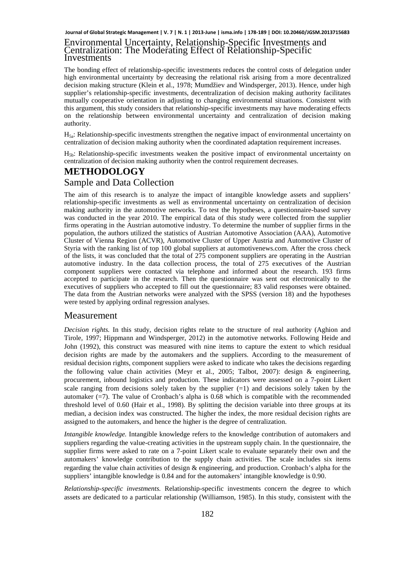#### Environmental Uncertainty, Relationship-Specific Investments and Centralization: The Moderating Effect of Relationship-Specific Investments

The bonding effect of relationship-specific investments reduces the control costs of delegation under high environmental uncertainty by decreasing the relational risk arising from a more decentralized decision making structure (Klein et al., 1978; Mumdžiev and Windsperger, 2013). Hence, under high supplier's relationship-specific investments, decentralization of decision making authority facilitates mutually cooperative orientation in adjusting to changing environmental situations. Consistent with this argument, this study considers that relationship-specific investments may have moderating effects on the relationship between environmental uncertainty and centralization of decision making authority.

H5a: Relationship-specific investments strengthen the negative impact of environmental uncertainty on centralization of decision making authority when the coordinated adaptation requirement increases.

 $H_{5b}$ : Relationship-specific investments weaken the positive impact of environmental uncertainty on centralization of decision making authority when the control requirement decreases.

## **METHODOLOGY** Sample and Data Collection

The aim of this research is to analyze the impact of intangible knowledge assets and suppliers' relationship-specific investments as well as environmental uncertainty on centralization of decision making authority in the automotive networks. To test the hypotheses, a questionnaire-based survey was conducted in the year 2010. The empirical data of this study were collected from the supplier firms operating in the Austrian automotive industry. To determine the number of supplier firms in the population, the authors utilized the statistics of Austrian Automotive Association (AAA), Automotive Cluster of Vienna Region (ACVR), Automotive Cluster of Upper Austria and Automotive Cluster of Styria with the ranking list of top 100 global suppliers at automotivenews.com. After the cross check of the lists, it was concluded that the total of 275 component suppliers are operating in the Austrian automotive industry. In the data collection process, the total of 275 executives of the Austrian component suppliers were contacted via telephone and informed about the research. 193 firms accepted to participate in the research. Then the questionnaire was sent out electronically to the executives of suppliers who accepted to fill out the questionnaire; 83 valid responses were obtained. The data from the Austrian networks were analyzed with the SPSS (version 18) and the hypotheses were tested by applying ordinal regression analyses.

#### Measurement

*Decision rights.* In this study, decision rights relate to the structure of real authority (Aghion and Tirole, 1997; Hippmann and Windsperger, 2012) in the automotive networks. Following Heide and John (1992), this construct was measured with nine items to capture the extent to which residual decision rights are made by the automakers and the suppliers. According to the measurement of residual decision rights, component suppliers were asked to indicate who takes the decisions regarding the following value chain activities (Meyr et al., 2005; Talbot, 2007): design & engineering, procurement, inbound logistics and production. These indicators were assessed on a 7-point Likert scale ranging from decisions solely taken by the supplier  $(=1)$  and decisions solely taken by the automaker  $(=7)$ . The value of Cronbach's alpha is 0.68 which is compatible with the recommended threshold level of 0.60 (Hair et al., 1998). By splitting the decision variable into three groups at its median, a decision index was constructed. The higher the index, the more residual decision rights are assigned to the automakers, and hence the higher is the degree of centralization.

*Intangible knowledge.* Intangible knowledge refers to the knowledge contribution of automakers and suppliers regarding the value-creating activities in the upstream supply chain. In the questionnaire, the supplier firms were asked to rate on a 7-point Likert scale to evaluate separately their own and the automakers' knowledge contribution to the supply chain activities. The scale includes six items regarding the value chain activities of design & engineering, and production. Cronbach's alpha for the suppliers' intangible knowledge is 0.84 and for the automakers' intangible knowledge is 0.90.

*Relationship-specific investments.* Relationship-specific investments concern the degree to which assets are dedicated to a particular relationship (Williamson, 1985). In this study, consistent with the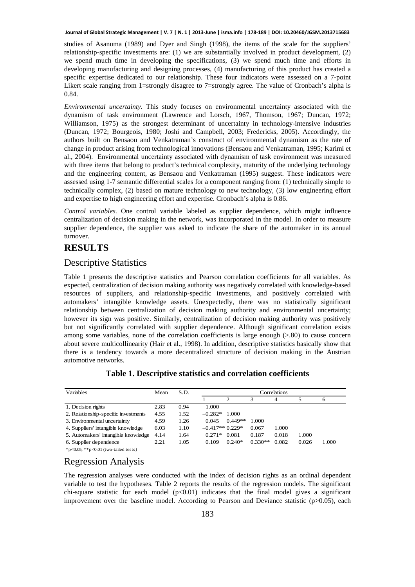studies of Asanuma (1989) and Dyer and Singh (1998), the items of the scale for the suppliers' relationship-specific investments are: (1) we are substantially involved in product development, (2) we spend much time in developing the specifications, (3) we spend much time and efforts in developing manufacturing and designing processes, (4) manufacturing of this product has created a specific expertise dedicated to our relationship. These four indicators were assessed on a 7-point Likert scale ranging from 1=strongly disagree to 7=strongly agree. The value of Cronbach's alpha is 0.84.

*Environmental uncertainty.* This study focuses on environmental uncertainty associated with the dynamism of task environment (Lawrence and Lorsch, 1967, Thomson, 1967; Duncan, 1972; Williamson, 1975) as the strongest determinant of uncertainty in technology-intensive industries (Duncan, 1972; Bourgeois, 1980; Joshi and Campbell, 2003; Fredericks, 2005). Accordingly, the authors built on Bensaou and Venkatraman's construct of environmental dynamism as the rate of change in product arising from technological innovations (Bensaou and Venkatraman, 1995; Karimi et al., 2004). Environmental uncertainty associated with dynamism of task environment was measured with three items that belong to product's technical complexity, maturity of the underlying technology and the engineering content, as Bensaou and Venkatraman (1995) suggest. These indicators were assessed using 1-7 semantic differential scales for a component ranging from: (1) technically simple to technically complex, (2) based on mature technology to new technology, (3) low engineering effort and expertise to high engineering effort and expertise. Cronbach's alpha is 0.86.

*Control variables.* One control variable labeled as supplier dependence, which might influence centralization of decision making in the network, was incorporated in the model. In order to measure supplier dependence, the supplier was asked to indicate the share of the automaker in its annual turnover.

# **RESULTS**

#### Descriptive Statistics

Table 1 presents the descriptive statistics and Pearson correlation coefficients for all variables. As expected, centralization of decision making authority was negatively correlated with knowledge-based resources of suppliers, and relationship-specific investments, and positively correlated with automakers' intangible knowledge assets. Unexpectedly, there was no statistically significant relationship between centralization of decision making authority and environmental uncertainty; however its sign was positive. Similarly, centralization of decision making authority was positively but not significantly correlated with supplier dependence. Although significant correlation exists among some variables, none of the correlation coefficients is large enough (>.80) to cause concern about severe multicollinearity (Hair et al., 1998). In addition, descriptive statistics basically show that there is a tendency towards a more decentralized structure of decision making in the Austrian automotive networks.

| Variables                            | Mean | S.D. | Correlations     |               |           |       |       |       |
|--------------------------------------|------|------|------------------|---------------|-----------|-------|-------|-------|
|                                      |      |      |                  | $\mathcal{L}$ |           | 4     |       | o     |
| 1. Decision rights                   | 2.83 | 0.94 | 1.000            |               |           |       |       |       |
| 2. Relationship-specific investments | 4.55 | 1.52 | $-0.282*$        | 1.000         |           |       |       |       |
| 3. Environmental uncertainty         | 4.59 | 1.26 | 0.045            | $0.449**$     | 1.000     |       |       |       |
| 4. Suppliers' intangible knowledge   | 6.03 | 1.10 | $-0.417**0.229*$ |               | 0.067     | 1.000 |       |       |
| 5. Automakers' intangible knowledge  | 4.14 | 1.64 | $0.271*$         | 0.081         | 0.187     | 0.018 | 1.000 |       |
| 6. Supplier dependence               | 2.21 | 1.05 | 0.109            | $0.240*$      | $0.330**$ | 0.082 | 0.026 | 1.000 |

#### **Table 1. Descriptive statistics and correlation coefficients**

\*p<0.05, \*\*p<0.01 (two-tailed tests)

#### Regression Analysis

The regression analyses were conducted with the index of decision rights as an ordinal dependent variable to test the hypotheses. Table 2 reports the results of the regression models. The significant chi-square statistic for each model  $(p<0.01)$  indicates that the final model gives a significant improvement over the baseline model. According to Pearson and Deviance statistic  $(p>0.05)$ , each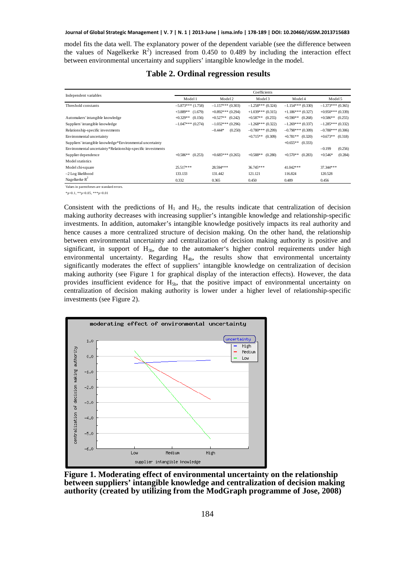model fits the data well. The explanatory power of the dependent variable (see the difference between the values of Nagelkerke  $R^2$ ) increased from 0.450 to 0.489 by including the interaction effect between environmental uncertainty and suppliers' intangible knowledge in the model.

| Independent variables                                       | Coefficients          |                       |                       |                       |                      |  |  |  |
|-------------------------------------------------------------|-----------------------|-----------------------|-----------------------|-----------------------|----------------------|--|--|--|
|                                                             | Model 1               | Model 2               | Model 3               | Model 4               | Model 5              |  |  |  |
| Threshold constants                                         | $-5.873***$ (1.758)   | $-1.157***(0.303)$    | $-1.258***(0.324)$    | $-1.154***(0.330)$    | $-1.373***(0.365)$   |  |  |  |
|                                                             | $+3.889**$ (1.679)    | $+0.892$ *** (0.294)  | $+1.039***$ (0.315)   | $+1.186***$ (0.327)   | $+0.950***$ (0.339)  |  |  |  |
| Automakers' intangible knowledge                            | $+0.329**$<br>(0.156) | $+0.527**$<br>(0.242) | $+0.587**$<br>(0.255) | $+0.590**$<br>(0.268) | $+0.586**$ (0.255)   |  |  |  |
| Suppliers' intangible knowledge                             | $-1.047***(0.274)$    | $-1.032***(0.296)$    | $-1.268***(0.322)$    | $-1.269***$ (0.337)   | $-1.285***(0.332)$   |  |  |  |
| Relationship-specific investments                           |                       | $-0.444*$<br>(0.250)  | $-0.780$ *** (0.299)  | $-0.798***$ (0.309)   | $-0.788***(0.306)$   |  |  |  |
| Environmental uncertainty                                   |                       |                       | $+0.715**$<br>(0.309) | $+0.781**$ (0.320)    | $+0.673**$ (0.318)   |  |  |  |
| Suppliers' intangible knowledge*Environmental uncertainty   |                       |                       |                       | $+0.655**$ (0.333)    |                      |  |  |  |
| Environmental uncertainty*Relationship-specific investments |                       |                       |                       |                       | $-0.199$<br>(0.256)  |  |  |  |
| Supplier dependence                                         | $+0.586**$<br>(0.253) | $+0.685***(0.265)$    | $+0.588**$<br>(0.280) | $+0.570**$<br>(0.283) | (0.284)<br>$+0.546*$ |  |  |  |
| Model statistics                                            |                       |                       |                       |                       |                      |  |  |  |
| Model chi-square                                            | $25.517***$           | 28.594***             | 36.745***             | 41.042***             | 37.344***            |  |  |  |
| $-2$ Log likelihood                                         | 133.133               | 131.442               | 121.121               | 116.824               | 120.528              |  |  |  |
| Nagelkerke $R^2$                                            | 0.332                 | 0.365                 | 0.450                 | 0.489                 | 0.456                |  |  |  |

| <b>Table 2. Ordinal regression results</b> |  |
|--------------------------------------------|--|
|--------------------------------------------|--|

Values in parentheses are standard error.

 $*_{p<0.1}$ ,  $*_{p<0.05}$ ,  $*_{*p<0.01}$ 

Consistent with the predictions of  $H_1$  and  $H_2$ , the results indicate that centralization of decision making authority decreases with increasing supplier's intangible knowledge and relationship-specific investments. In addition, automaker's intangible knowledge positively impacts its real authority and hence causes a more centralized structure of decision making. On the other hand, the relationship between environmental uncertainty and centralization of decision making authority is positive and significant, in support of  $H_{3b}$ , due to the automaker's higher control requirements under high environmental uncertainty. Regarding  $H_{4b}$ , the results show that environmental uncertainty significantly moderates the effect of suppliers' intangible knowledge on centralization of decision making authority (see Figure 1 for graphical display of the interaction effects). However, the data provides insufficient evidence for H<sub>5b</sub>, that the positive impact of environmental uncertainty on centralization of decision making authority is lower under a higher level of relationship-specific investments (see Figure 2).



**Figure 1. Moderating effect of environmental uncertainty on the relationship between suppliers' intangible knowledge and centralization of decision making authority (created by utilizing from the ModGraph programme of Jose, 2008)**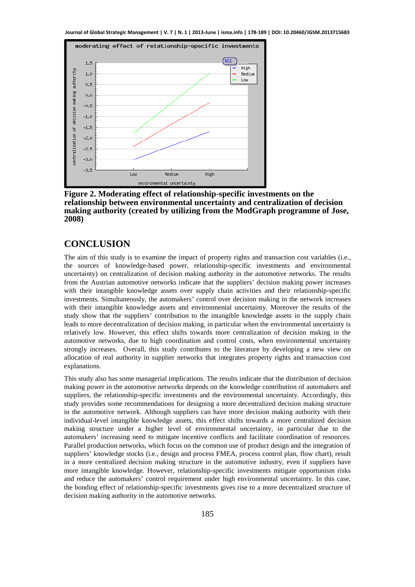

**Figure 2. Moderating effect of relationship-specific investments on the relationship between environmental uncertainty and centralization of decision making authority (created by utilizing from the ModGraph programme of Jose, 2008)** 

# **CONCLUSION**

The aim of this study is to examine the impact of property rights and transaction cost variables (i.e., the sources of knowledge-based power, relationship-specific investments and environmental uncertainty) on centralization of decision making authority in the automotive networks. The results from the Austrian automotive networks indicate that the suppliers' decision making power increases with their intangible knowledge assets over supply chain activities and their relationship-specific investments. Simultaneously, the automakers' control over decision making in the network increases with their intangible knowledge assets and environmental uncertainty. Moreover the results of the study show that the suppliers' contribution to the intangible knowledge assets in the supply chain leads to more decentralization of decision making, in particular when the environmental uncertainty is relatively low. However, this effect shifts towards more centralization of decision making in the automotive networks, due to high coordination and control costs, when environmental uncertainty strongly increases. Overall, this study contributes to the literature by developing a new view on allocation of real authority in supplier networks that integrates property rights and transaction cost explanations.

This study also has some managerial implications. The results indicate that the distribution of decision making power in the automotive networks depends on the knowledge contribution of automakers and suppliers, the relationship-specific investments and the environmental uncertainty. Accordingly, this study provides some recommendations for designing a more decentralized decision making structure in the automotive network. Although suppliers can have more decision making authority with their individual-level intangible knowledge assets, this effect shifts towards a more centralized decision making structure under a higher level of environmental uncertainty, in particular due to the automakers' increasing need to mitigate incentive conflicts and facilitate coordination of resources. Parallel production networks, which focus on the common use of product design and the integration of suppliers' knowledge stocks (i.e., design and process FMEA, process control plan, flow chart), result in a more centralized decision making structure in the automotive industry, even if suppliers have more intangible knowledge. However, relationship-specific investments mitigate opportunism risks and reduce the automakers' control requirement under high environmental uncertainty. In this case, the bonding effect of relationship-specific investments gives rise to a more decentralized structure of decision making authority in the automotive networks.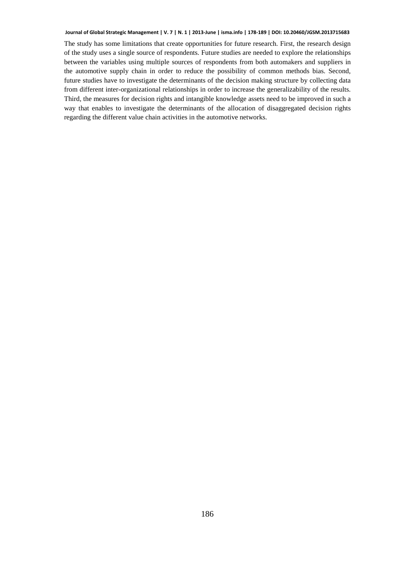The study has some limitations that create opportunities for future research. First, the research design of the study uses a single source of respondents. Future studies are needed to explore the relationships between the variables using multiple sources of respondents from both automakers and suppliers in the automotive supply chain in order to reduce the possibility of common methods bias. Second, future studies have to investigate the determinants of the decision making structure by collecting data from different inter-organizational relationships in order to increase the generalizability of the results. Third, the measures for decision rights and intangible knowledge assets need to be improved in such a way that enables to investigate the determinants of the allocation of disaggregated decision rights regarding the different value chain activities in the automotive networks.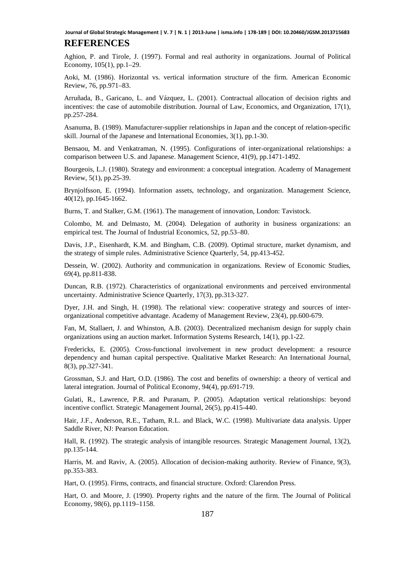#### **REFERENCES**

Aghion, P. and Tirole, J. (1997). Formal and real authority in organizations. Journal of Political Economy, 105(1), pp.1–29.

Aoki, M. (1986). Horizontal vs. vertical information structure of the firm. American Economic Review, 76, pp.971–83.

Arruñada, B., Garicano, L. and Vázquez, L. (2001). Contractual allocation of decision rights and incentives: the case of automobile distribution. Journal of Law, Economics, and Organization, 17(1), pp.257-284.

Asanuma, B. (1989). Manufacturer-supplier relationships in Japan and the concept of relation-specific skill. Journal of the Japanese and International Economies, 3(1), pp.1-30.

Bensaou, M. and Venkatraman, N. (1995). Configurations of inter-organizational relationships: a comparison between U.S. and Japanese. Management Science, 41(9), pp.1471-1492.

Bourgeois, L.J. (1980). Strategy and environment: a conceptual integration. Academy of Management Review, 5(1), pp.25-39.

Brynjolfsson, E. (1994). Information assets, technology, and organization. Management Science, 40(12), pp.1645-1662.

Burns, T. and Stalker, G.M. (1961). The management of innovation, London: Tavistock.

Colombo, M. and Delmasto, M. (2004). Delegation of authority in business organizations: an empirical test. The Journal of Industrial Economics, 52, pp.53–80.

Davis, J.P., Eisenhardt, K.M. and Bingham, C.B. (2009). Optimal structure, market dynamism, and the strategy of simple rules. Administrative Science Quarterly, 54, pp.413-452.

Dessein, W. (2002). Authority and communication in organizations. Review of Economic Studies, 69(4), pp.811-838.

Duncan, R.B. (1972). Characteristics of organizational environments and perceived environmental uncertainty. Administrative Science Quarterly, 17(3), pp.313-327.

Dyer, J.H. and Singh, H. (1998). The relational view: cooperative strategy and sources of interorganizational competitive advantage. Academy of Management Review, 23(4), pp.600-679.

Fan, M, Stallaert, J. and Whinston, A.B. (2003). Decentralized mechanism design for supply chain organizations using an auction market. Information Systems Research, 14(1), pp.1-22.

Fredericks, E. (2005). Cross-functional involvement in new product development: a resource dependency and human capital perspective. Qualitative Market Research: An International Journal, 8(3), pp.327-341.

Grossman, S.J. and Hart, O.D. (1986). The cost and benefits of ownership: a theory of vertical and lateral integration. Journal of Political Economy, 94(4), pp.691-719.

Gulati, R., Lawrence, P.R. and Puranam, P. (2005). Adaptation vertical relationships: beyond incentive conflict. Strategic Management Journal, 26(5), pp.415-440.

Hair, J.F., Anderson, R.E., Tatham, R.L. and Black, W.C. (1998). Multivariate data analysis. Upper Saddle River, NJ: Pearson Education.

Hall, R. (1992). The strategic analysis of intangible resources. Strategic Management Journal, 13(2), pp.135-144.

Harris, M. and Raviv, A. (2005). Allocation of decision-making authority. Review of Finance, 9(3), pp.353-383.

Hart, O. (1995). Firms, contracts, and financial structure. Oxford: Clarendon Press.

Hart, O. and Moore, J. (1990). Property rights and the nature of the firm. The Journal of Political Economy, 98(6), pp.1119–1158.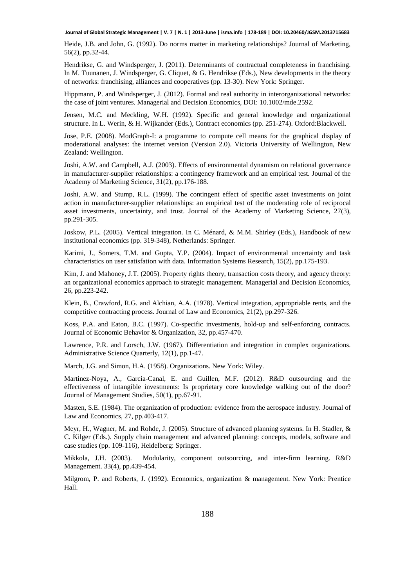Heide, J.B. and John, G. (1992). Do norms matter in marketing relationships? Journal of Marketing, 56(2), pp.32-44.

Hendrikse, G. and Windsperger, J. (2011). Determinants of contractual completeness in franchising. In M. Tuunanen, J. Windsperger, G. Cliquet, & G. Hendrikse (Eds.), New developments in the theory of networks: franchising, alliances and cooperatives (pp. 13-30). New York: Springer.

Hippmann, P. and Windsperger, J. (2012). Formal and real authority in interorganizational networks: the case of joint ventures. Managerial and Decision Economics, DOI: 10.1002/mde.2592.

Jensen, M.C. and Meckling, W.H. (1992). Specific and general knowledge and organizational structure. In L. Werin, & H. Wijkander (Eds.), Contract economics (pp. 251-274). Oxford:Blackwell.

Jose, P.E. (2008). ModGraph-I: a programme to compute cell means for the graphical display of moderational analyses: the internet version (Version 2.0). Victoria University of Wellington, New Zealand: Wellington.

Joshi, A.W. and Campbell, A.J. (2003). Effects of environmental dynamism on relational governance in manufacturer-supplier relationships: a contingency framework and an empirical test. Journal of the Academy of Marketing Science, 31(2), pp.176-188.

Joshi, A.W. and Stump, R.L. (1999). The contingent effect of specific asset investments on joint action in manufacturer-supplier relationships: an empirical test of the moderating role of reciprocal asset investments, uncertainty, and trust. Journal of the Academy of Marketing Science, 27(3), pp.291-305.

Joskow, P.L. (2005). Vertical integration. In C. Ménard, & M.M. Shirley (Eds.), Handbook of new institutional economics (pp. 319-348), Netherlands: Springer.

Karimi, J., Somers, T.M. and Gupta, Y.P. (2004). Impact of environmental uncertainty and task characteristics on user satisfation with data. Information Systems Research, 15(2), pp.175-193.

Kim, J. and Mahoney, J.T. (2005). Property rights theory, transaction costs theory, and agency theory: an organizational economics approach to strategic management. Managerial and Decision Economics, 26, pp.223-242.

Klein, B., Crawford, R.G. and Alchian, A.A. (1978). Vertical integration, appropriable rents, and the competitive contracting process. Journal of Law and Economics, 21(2), pp.297-326.

Koss, P.A. and Eaton, B.C. (1997). Co-specific investments, hold-up and self-enforcing contracts. Journal of Economic Behavior & Organization, 32, pp.457-470.

Lawrence, P.R. and Lorsch, J.W. (1967). Differentiation and integration in complex organizations. Administrative Science Quarterly, 12(1), pp.1-47.

March, J.G. and Simon, H.A. (1958). Organizations. New York: Wiley.

Martinez-Noya, A., Garcia-Canal, E. and Guillen, M.F. (2012). R&D outsourcing and the effectiveness of intangible investments: Is proprietary core knowledge walking out of the door? Journal of Management Studies, 50(1), pp.67-91.

Masten, S.E. (1984). The organization of production: evidence from the aerospace industry. Journal of Law and Economics, 27, pp.403-417.

Meyr, H., Wagner, M. and Rohde, J. (2005). Structure of advanced planning systems. In H. Stadler, & C. Kilger (Eds.). Supply chain management and advanced planning: concepts, models, software and case studies (pp. 109-116), Heidelberg: Springer.

Mikkola, J.H. (2003). Modularity, component outsourcing, and inter-firm learning. R&D Management. 33(4), pp.439-454.

Milgrom, P. and Roberts, J. (1992). Economics, organization & management. New York: Prentice Hall.